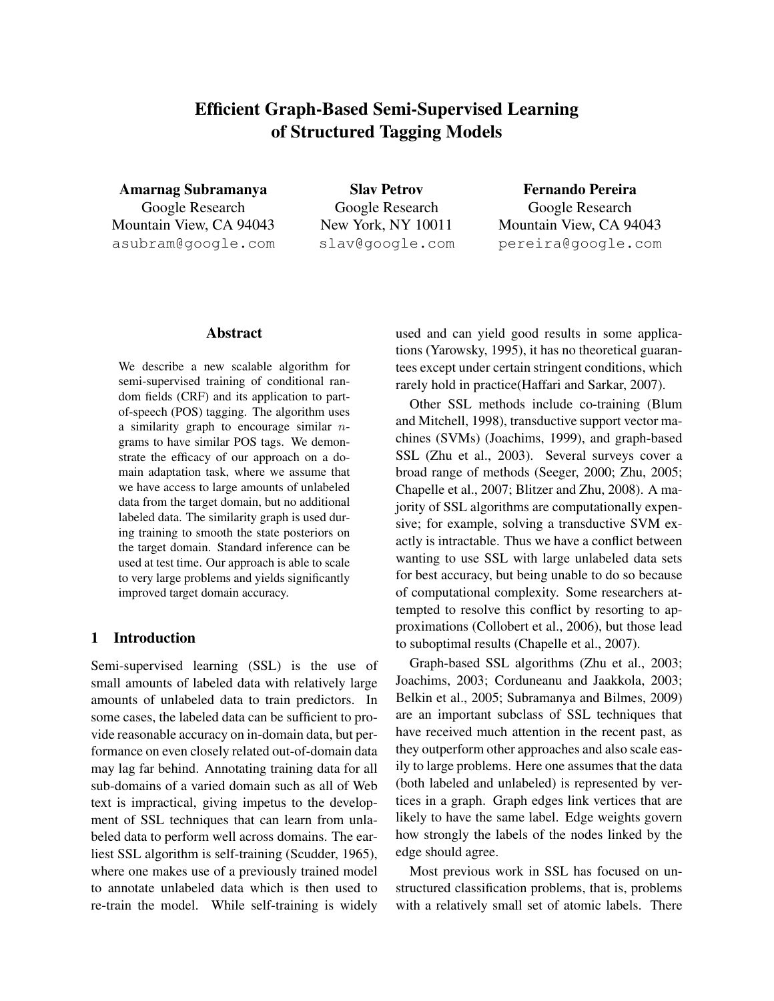# Efficient Graph-Based Semi-Supervised Learning of Structured Tagging Models

Amarnag Subramanya Google Research Mountain View, CA 94043 asubram@google.com

Slav Petrov Google Research New York, NY 10011 slav@google.com

Fernando Pereira Google Research Mountain View, CA 94043 pereira@google.com

### Abstract

We describe a new scalable algorithm for semi-supervised training of conditional random fields (CRF) and its application to partof-speech (POS) tagging. The algorithm uses a similarity graph to encourage similar  $n$ grams to have similar POS tags. We demonstrate the efficacy of our approach on a domain adaptation task, where we assume that we have access to large amounts of unlabeled data from the target domain, but no additional labeled data. The similarity graph is used during training to smooth the state posteriors on the target domain. Standard inference can be used at test time. Our approach is able to scale to very large problems and yields significantly improved target domain accuracy.

### 1 Introduction

Semi-supervised learning (SSL) is the use of small amounts of labeled data with relatively large amounts of unlabeled data to train predictors. In some cases, the labeled data can be sufficient to provide reasonable accuracy on in-domain data, but performance on even closely related out-of-domain data may lag far behind. Annotating training data for all sub-domains of a varied domain such as all of Web text is impractical, giving impetus to the development of SSL techniques that can learn from unlabeled data to perform well across domains. The earliest SSL algorithm is self-training (Scudder, 1965), where one makes use of a previously trained model to annotate unlabeled data which is then used to re-train the model. While self-training is widely

used and can yield good results in some applications (Yarowsky, 1995), it has no theoretical guarantees except under certain stringent conditions, which rarely hold in practice(Haffari and Sarkar, 2007).

Other SSL methods include co-training (Blum and Mitchell, 1998), transductive support vector machines (SVMs) (Joachims, 1999), and graph-based SSL (Zhu et al., 2003). Several surveys cover a broad range of methods (Seeger, 2000; Zhu, 2005; Chapelle et al., 2007; Blitzer and Zhu, 2008). A majority of SSL algorithms are computationally expensive; for example, solving a transductive SVM exactly is intractable. Thus we have a conflict between wanting to use SSL with large unlabeled data sets for best accuracy, but being unable to do so because of computational complexity. Some researchers attempted to resolve this conflict by resorting to approximations (Collobert et al., 2006), but those lead to suboptimal results (Chapelle et al., 2007).

Graph-based SSL algorithms (Zhu et al., 2003; Joachims, 2003; Corduneanu and Jaakkola, 2003; Belkin et al., 2005; Subramanya and Bilmes, 2009) are an important subclass of SSL techniques that have received much attention in the recent past, as they outperform other approaches and also scale easily to large problems. Here one assumes that the data (both labeled and unlabeled) is represented by vertices in a graph. Graph edges link vertices that are likely to have the same label. Edge weights govern how strongly the labels of the nodes linked by the edge should agree.

Most previous work in SSL has focused on unstructured classification problems, that is, problems with a relatively small set of atomic labels. There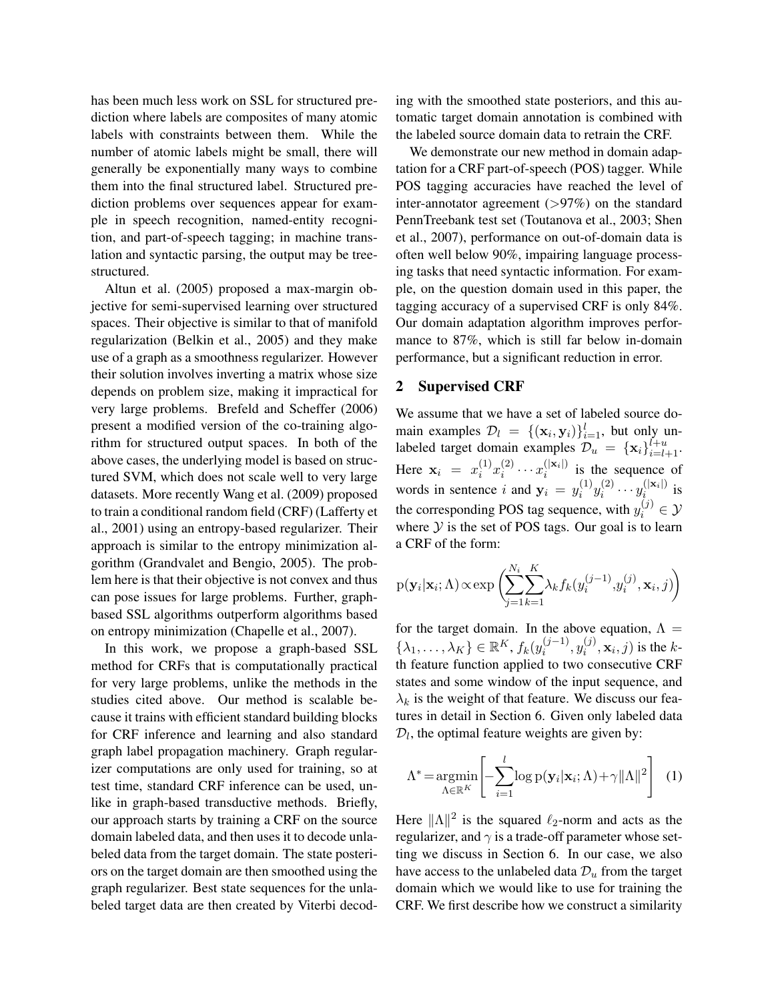has been much less work on SSL for structured prediction where labels are composites of many atomic labels with constraints between them. While the number of atomic labels might be small, there will generally be exponentially many ways to combine them into the final structured label. Structured prediction problems over sequences appear for example in speech recognition, named-entity recognition, and part-of-speech tagging; in machine translation and syntactic parsing, the output may be treestructured.

Altun et al. (2005) proposed a max-margin objective for semi-supervised learning over structured spaces. Their objective is similar to that of manifold regularization (Belkin et al., 2005) and they make use of a graph as a smoothness regularizer. However their solution involves inverting a matrix whose size depends on problem size, making it impractical for very large problems. Brefeld and Scheffer (2006) present a modified version of the co-training algorithm for structured output spaces. In both of the above cases, the underlying model is based on structured SVM, which does not scale well to very large datasets. More recently Wang et al. (2009) proposed to train a conditional random field (CRF) (Lafferty et al., 2001) using an entropy-based regularizer. Their approach is similar to the entropy minimization algorithm (Grandvalet and Bengio, 2005). The problem here is that their objective is not convex and thus can pose issues for large problems. Further, graphbased SSL algorithms outperform algorithms based on entropy minimization (Chapelle et al., 2007).

In this work, we propose a graph-based SSL method for CRFs that is computationally practical for very large problems, unlike the methods in the studies cited above. Our method is scalable because it trains with efficient standard building blocks for CRF inference and learning and also standard graph label propagation machinery. Graph regularizer computations are only used for training, so at test time, standard CRF inference can be used, unlike in graph-based transductive methods. Briefly, our approach starts by training a CRF on the source domain labeled data, and then uses it to decode unlabeled data from the target domain. The state posteriors on the target domain are then smoothed using the graph regularizer. Best state sequences for the unlabeled target data are then created by Viterbi decoding with the smoothed state posteriors, and this automatic target domain annotation is combined with the labeled source domain data to retrain the CRF.

We demonstrate our new method in domain adaptation for a CRF part-of-speech (POS) tagger. While POS tagging accuracies have reached the level of inter-annotator agreement  $(>\!97\%)$  on the standard PennTreebank test set (Toutanova et al., 2003; Shen et al., 2007), performance on out-of-domain data is often well below 90%, impairing language processing tasks that need syntactic information. For example, on the question domain used in this paper, the tagging accuracy of a supervised CRF is only 84%. Our domain adaptation algorithm improves performance to 87%, which is still far below in-domain performance, but a significant reduction in error.

### 2 Supervised CRF

We assume that we have a set of labeled source domain examples  $\mathcal{D}_l = \{(\mathbf{x}_i, \mathbf{y}_i)\}_{i=1}^l$ , but only unlabeled target domain examples  $\mathcal{D}_u = {\mathbf{x}_i}_{i=l+1}^{l+u}$ . Here  $\mathbf{x}_i = x_i^{(1)}$  $\binom{1}{i}x_i^{(2)}$  $\sum_{i}^{(2)} \cdots x_i^{(|\mathbf{x}_i|)}$  $i^{(|\mathbf{x}_i|)}$  is the sequence of words in sentence i and  $y_i = y_i^{(1)}$  $\binom{1}{i}y_i^{(2)}$  $y_i^{(2)} \cdots y_i^{(|\mathbf{x}_i|)}$  $i^{(|\mathbf{x}_i|)}$  is the corresponding POS tag sequence, with  $y_i^{(j)} \in \mathcal{Y}$ where  $Y$  is the set of POS tags. Our goal is to learn a CRF of the form:

$$
p(\mathbf{y}_i|\mathbf{x}_i; \Lambda) \propto \exp\left(\sum_{j=1}^{N_i} \sum_{k=1}^{K} \lambda_k f_k(y_i^{(j-1)}, y_i^{(j)}, \mathbf{x}_i, j)\right)
$$

for the target domain. In the above equation,  $\Lambda =$  $\{\lambda_1,\ldots,\lambda_K\} \in \mathbb{R}^K$ ,  $f_k(y_i^{(j-1)})$  $y_i^{(j-1)}, y_i^{(j)}$  $i^{(j)}, \mathbf{x}_i, j$  is the kth feature function applied to two consecutive CRF states and some window of the input sequence, and  $\lambda_k$  is the weight of that feature. We discuss our features in detail in Section 6. Given only labeled data  $D_l$ , the optimal feature weights are given by:

$$
\Lambda^* = \underset{\Lambda \in \mathbb{R}^K}{\operatorname{argmin}} \left[ -\sum_{i=1}^l \log p(\mathbf{y}_i | \mathbf{x}_i; \Lambda) + \gamma ||\Lambda||^2 \right] \tag{1}
$$

Here  $\|\Lambda\|^2$  is the squared  $\ell_2$ -norm and acts as the regularizer, and  $\gamma$  is a trade-off parameter whose setting we discuss in Section 6. In our case, we also have access to the unlabeled data  $\mathcal{D}_u$  from the target domain which we would like to use for training the CRF. We first describe how we construct a similarity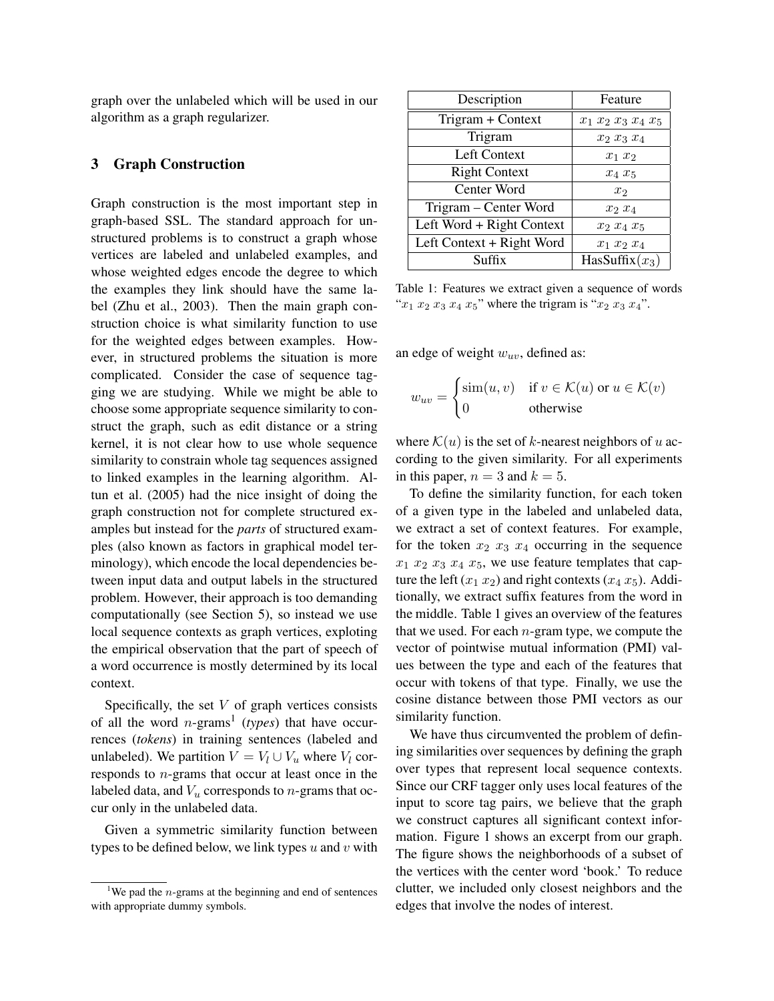graph over the unlabeled which will be used in our algorithm as a graph regularizer.

### 3 Graph Construction

Graph construction is the most important step in graph-based SSL. The standard approach for unstructured problems is to construct a graph whose vertices are labeled and unlabeled examples, and whose weighted edges encode the degree to which the examples they link should have the same label (Zhu et al., 2003). Then the main graph construction choice is what similarity function to use for the weighted edges between examples. However, in structured problems the situation is more complicated. Consider the case of sequence tagging we are studying. While we might be able to choose some appropriate sequence similarity to construct the graph, such as edit distance or a string kernel, it is not clear how to use whole sequence similarity to constrain whole tag sequences assigned to linked examples in the learning algorithm. Altun et al. (2005) had the nice insight of doing the graph construction not for complete structured examples but instead for the *parts* of structured examples (also known as factors in graphical model terminology), which encode the local dependencies between input data and output labels in the structured problem. However, their approach is too demanding computationally (see Section 5), so instead we use local sequence contexts as graph vertices, exploting the empirical observation that the part of speech of a word occurrence is mostly determined by its local context.

Specifically, the set  $V$  of graph vertices consists of all the word  $n$ -grams<sup>1</sup> (*types*) that have occurrences (*tokens*) in training sentences (labeled and unlabeled). We partition  $V = V_l \cup V_u$  where  $V_l$  corresponds to n-grams that occur at least once in the labeled data, and  $V_u$  corresponds to *n*-grams that occur only in the unlabeled data.

Given a symmetric similarity function between types to be defined below, we link types  $u$  and  $v$  with

| Description               | Feature               |  |
|---------------------------|-----------------------|--|
| Trigram + Context         | $x_1 x_2 x_3 x_4 x_5$ |  |
| Trigram                   | $x_2$ $x_3$ $x_4$     |  |
| Left Context              | $x_1$ $x_2$           |  |
| <b>Right Context</b>      | $x_4 x_5$             |  |
| Center Word               | x <sub>2</sub>        |  |
| Trigram - Center Word     | $x_2$ $x_4$           |  |
| Left Word + Right Context | $x_2$ $x_4$ $x_5$     |  |
| Left Context + Right Word | $x_1$ $x_2$ $x_4$     |  |
| Suffix                    | HasSuffix $(x_3)$     |  |

Table 1: Features we extract given a sequence of words " $x_1 x_2 x_3 x_4 x_5$ " where the trigram is " $x_2 x_3 x_4$ ".

an edge of weight  $w_{uv}$ , defined as:

$$
w_{uv} = \begin{cases} \sin(u, v) & \text{if } v \in \mathcal{K}(u) \text{ or } u \in \mathcal{K}(v) \\ 0 & \text{otherwise} \end{cases}
$$

where  $\mathcal{K}(u)$  is the set of k-nearest neighbors of u according to the given similarity. For all experiments in this paper,  $n = 3$  and  $k = 5$ .

To define the similarity function, for each token of a given type in the labeled and unlabeled data, we extract a set of context features. For example, for the token  $x_2$   $x_3$   $x_4$  occurring in the sequence  $x_1$   $x_2$   $x_3$   $x_4$   $x_5$ , we use feature templates that capture the left  $(x_1 x_2)$  and right contexts  $(x_4 x_5)$ . Additionally, we extract suffix features from the word in the middle. Table 1 gives an overview of the features that we used. For each  $n$ -gram type, we compute the vector of pointwise mutual information (PMI) values between the type and each of the features that occur with tokens of that type. Finally, we use the cosine distance between those PMI vectors as our similarity function.

We have thus circumvented the problem of defining similarities over sequences by defining the graph over types that represent local sequence contexts. Since our CRF tagger only uses local features of the input to score tag pairs, we believe that the graph we construct captures all significant context information. Figure 1 shows an excerpt from our graph. The figure shows the neighborhoods of a subset of the vertices with the center word 'book.' To reduce clutter, we included only closest neighbors and the edges that involve the nodes of interest.

<sup>&</sup>lt;sup>1</sup>We pad the *n*-grams at the beginning and end of sentences with appropriate dummy symbols.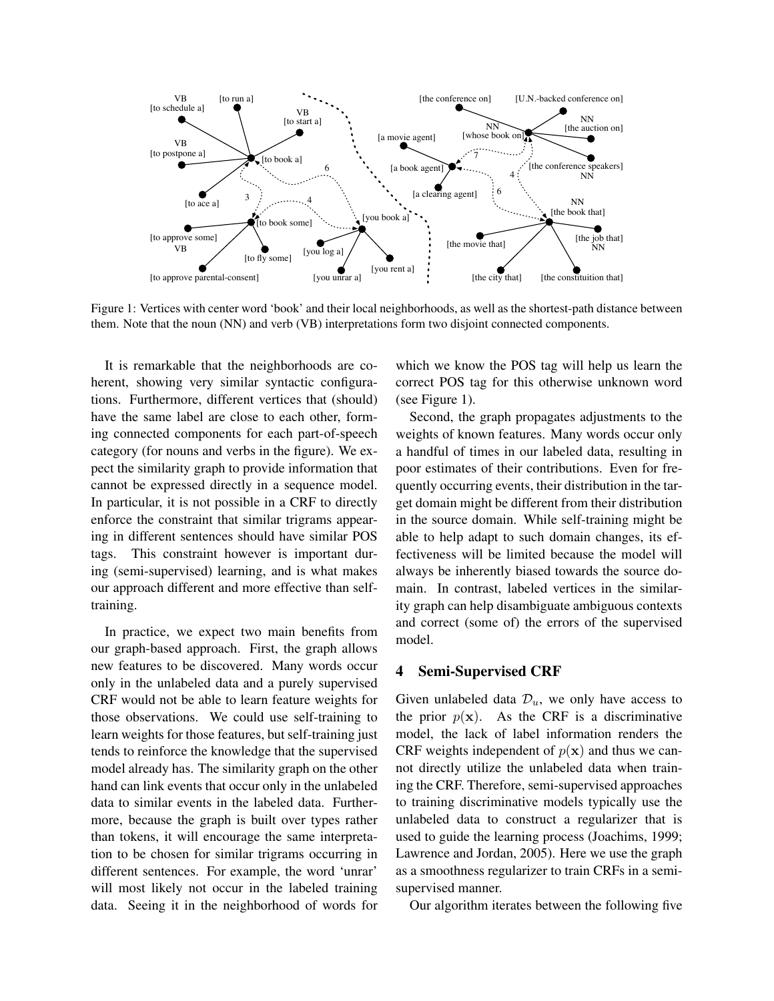

Figure 1: Vertices with center word 'book' and their local neighborhoods, as well as the shortest-path distance between them. Note that the noun (NN) and verb (VB) interpretations form two disjoint connected components.

It is remarkable that the neighborhoods are coherent, showing very similar syntactic configurations. Furthermore, different vertices that (should) have the same label are close to each other, forming connected components for each part-of-speech category (for nouns and verbs in the figure). We expect the similarity graph to provide information that cannot be expressed directly in a sequence model. In particular, it is not possible in a CRF to directly enforce the constraint that similar trigrams appearing in different sentences should have similar POS tags. This constraint however is important during (semi-supervised) learning, and is what makes our approach different and more effective than selftraining.

In practice, we expect two main benefits from our graph-based approach. First, the graph allows new features to be discovered. Many words occur only in the unlabeled data and a purely supervised CRF would not be able to learn feature weights for those observations. We could use self-training to learn weights for those features, but self-training just tends to reinforce the knowledge that the supervised model already has. The similarity graph on the other hand can link events that occur only in the unlabeled data to similar events in the labeled data. Furthermore, because the graph is built over types rather than tokens, it will encourage the same interpretation to be chosen for similar trigrams occurring in different sentences. For example, the word 'unrar' will most likely not occur in the labeled training data. Seeing it in the neighborhood of words for

which we know the POS tag will help us learn the correct POS tag for this otherwise unknown word (see Figure 1).

Second, the graph propagates adjustments to the weights of known features. Many words occur only a handful of times in our labeled data, resulting in poor estimates of their contributions. Even for frequently occurring events, their distribution in the target domain might be different from their distribution in the source domain. While self-training might be able to help adapt to such domain changes, its effectiveness will be limited because the model will always be inherently biased towards the source domain. In contrast, labeled vertices in the similarity graph can help disambiguate ambiguous contexts and correct (some of) the errors of the supervised model.

### 4 Semi-Supervised CRF

Given unlabeled data  $\mathcal{D}_u$ , we only have access to the prior  $p(x)$ . As the CRF is a discriminative model, the lack of label information renders the CRF weights independent of  $p(x)$  and thus we cannot directly utilize the unlabeled data when training the CRF. Therefore, semi-supervised approaches to training discriminative models typically use the unlabeled data to construct a regularizer that is used to guide the learning process (Joachims, 1999; Lawrence and Jordan, 2005). Here we use the graph as a smoothness regularizer to train CRFs in a semisupervised manner.

Our algorithm iterates between the following five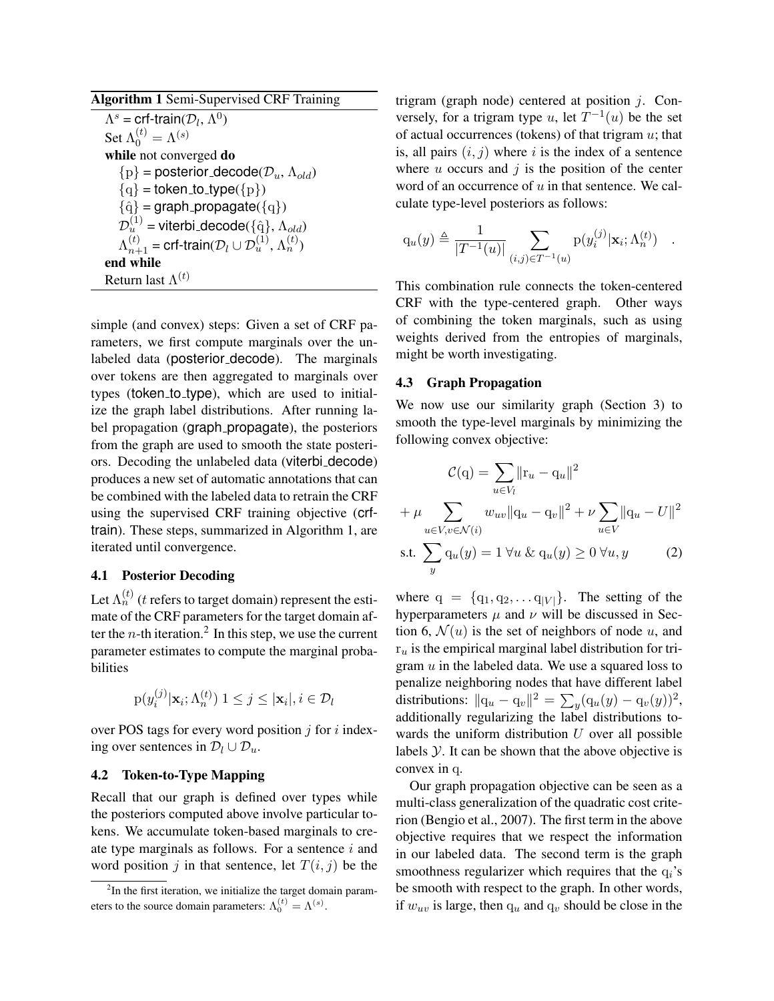Algorithm 1 Semi-Supervised CRF Training  $\Lambda^s = \text{crf-train}(\mathcal{D}_l, \Lambda^0)$ Set  $\Lambda_0^{(t)} = \Lambda^{(s)}$ while not converged do  $\{p\}$  = posterior\_decode( $\mathcal{D}_u$ ,  $\Lambda_{old}$ )  ${q} =$  token\_to\_type( ${p}$ )  ${q} = graph$  propagate $({q})$  $\mathcal{D}^{(1)}_u$  = viterbi<sub>-</sub>decode( $\{\hat{\mathrm{q}}\}$ ,  $\Lambda_{old})$  $\Lambda_{n+1}^{(t)}$  = crf-train( $\mathcal{D}_l \cup \mathcal{D}_u^{(1)}, \Lambda_n^{(t)}$ ) end while Return last  $\Lambda^{(t)}$ 

simple (and convex) steps: Given a set of CRF parameters, we first compute marginals over the unlabeled data (posterior decode). The marginals over tokens are then aggregated to marginals over types (token to type), which are used to initialize the graph label distributions. After running label propagation (graph\_propagate), the posteriors from the graph are used to smooth the state posteriors. Decoding the unlabeled data (viterbi decode) produces a new set of automatic annotations that can be combined with the labeled data to retrain the CRF using the supervised CRF training objective (crftrain). These steps, summarized in Algorithm 1, are iterated until convergence.

### 4.1 Posterior Decoding

Let  $\Lambda_n^{(t)}$  (t refers to target domain) represent the estimate of the CRF parameters for the target domain after the *n*-th iteration.<sup>2</sup> In this step, we use the current parameter estimates to compute the marginal probabilities

$$
p(y_i^{(j)}|\mathbf{x}_i; \Lambda_n^{(t)}) 1 \leq j \leq |\mathbf{x}_i|, i \in \mathcal{D}_l
$$

over POS tags for every word position  $j$  for  $i$  indexing over sentences in  $\mathcal{D}_l \cup \mathcal{D}_u$ .

# 4.2 Token-to-Type Mapping

Recall that our graph is defined over types while the posteriors computed above involve particular tokens. We accumulate token-based marginals to create type marginals as follows. For a sentence  $i$  and word position j in that sentence, let  $T(i, j)$  be the trigram (graph node) centered at position  $j$ . Conversely, for a trigram type u, let  $T^{-1}(u)$  be the set of actual occurrences (tokens) of that trigram  $u$ ; that is, all pairs  $(i, j)$  where i is the index of a sentence where  $u$  occurs and  $\dot{\gamma}$  is the position of the center word of an occurrence of  $u$  in that sentence. We calculate type-level posteriors as follows:

$$
q_u(y) \triangleq \frac{1}{|T^{-1}(u)|} \sum_{(i,j) \in T^{-1}(u)} p(y_i^{(j)} | \mathbf{x}_i; \Lambda_n^{(t)}) .
$$

This combination rule connects the token-centered CRF with the type-centered graph. Other ways of combining the token marginals, such as using weights derived from the entropies of marginals, might be worth investigating.

### 4.3 Graph Propagation

We now use our similarity graph (Section 3) to smooth the type-level marginals by minimizing the following convex objective:

$$
\mathcal{C}(\mathbf{q}) = \sum_{u \in V_l} ||\mathbf{r}_u - \mathbf{q}_u||^2
$$
  
+  $\mu \sum_{u \in V, v \in \mathcal{N}(i)} w_{uv} ||\mathbf{q}_u - \mathbf{q}_v||^2 + \nu \sum_{u \in V} ||\mathbf{q}_u - U||^2$   
s.t.  $\sum_y \mathbf{q}_u(y) = 1 \ \forall u \ \& \ \mathbf{q}_u(y) \ge 0 \ \forall u, y$  (2)

where  $q = \{q_1, q_2, \dots q_{|V|}\}.$  The setting of the hyperparameters  $\mu$  and  $\nu$  will be discussed in Section 6,  $\mathcal{N}(u)$  is the set of neighbors of node u, and  $r_u$  is the empirical marginal label distribution for trigram  $u$  in the labeled data. We use a squared loss to penalize neighboring nodes that have different label distributions:  $||\mathbf{q}_u - \mathbf{q}_v||^2 = \sum_y (\mathbf{q}_u(y) - \mathbf{q}_v(y))^2$ , additionally regularizing the label distributions towards the uniform distribution  $U$  over all possible labels  $Y$ . It can be shown that the above objective is convex in q.

Our graph propagation objective can be seen as a multi-class generalization of the quadratic cost criterion (Bengio et al., 2007). The first term in the above objective requires that we respect the information in our labeled data. The second term is the graph smoothness regularizer which requires that the  $q_i$ 's be smooth with respect to the graph. In other words, if  $w_{uv}$  is large, then  $q_u$  and  $q_v$  should be close in the

 $2$ In the first iteration, we initialize the target domain parameters to the source domain parameters:  $\Lambda_0^{(t)} = \Lambda^{(s)}$ .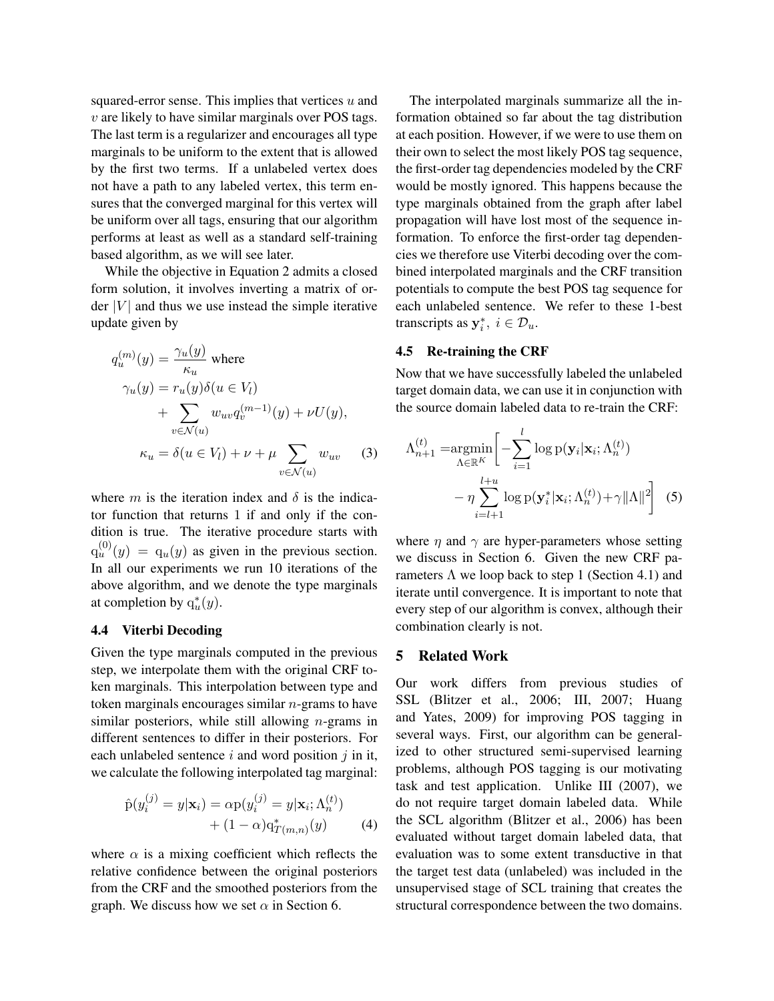squared-error sense. This implies that vertices  $u$  and  $v$  are likely to have similar marginals over POS tags. The last term is a regularizer and encourages all type marginals to be uniform to the extent that is allowed by the first two terms. If a unlabeled vertex does not have a path to any labeled vertex, this term ensures that the converged marginal for this vertex will be uniform over all tags, ensuring that our algorithm performs at least as well as a standard self-training based algorithm, as we will see later.

While the objective in Equation 2 admits a closed form solution, it involves inverting a matrix of order  $|V|$  and thus we use instead the simple iterative update given by

$$
q_u^{(m)}(y) = \frac{\gamma_u(y)}{\kappa_u} \text{ where}
$$
  
\n
$$
\gamma_u(y) = r_u(y)\delta(u \in V_l)
$$
  
\n
$$
+ \sum_{v \in \mathcal{N}(u)} w_{uv} q_v^{(m-1)}(y) + \nu U(y),
$$
  
\n
$$
\kappa_u = \delta(u \in V_l) + \nu + \mu \sum_{v \in \mathcal{N}(u)} w_{uv} \tag{3}
$$

where m is the iteration index and  $\delta$  is the indicator function that returns 1 if and only if the condition is true. The iterative procedure starts with  $q_u^{(0)}(y) = q_u(y)$  as given in the previous section. In all our experiments we run 10 iterations of the above algorithm, and we denote the type marginals at completion by  $q_u^*(y)$ .

# 4.4 Viterbi Decoding

Given the type marginals computed in the previous step, we interpolate them with the original CRF token marginals. This interpolation between type and token marginals encourages similar  $n$ -grams to have similar posteriors, while still allowing  $n$ -grams in different sentences to differ in their posteriors. For each unlabeled sentence  $i$  and word position  $j$  in it, we calculate the following interpolated tag marginal:

$$
\hat{p}(y_i^{(j)} = y | \mathbf{x}_i) = \alpha p(y_i^{(j)} = y | \mathbf{x}_i; \Lambda_n^{(t)}) \n+ (1 - \alpha) q_{T(m,n)}^*(y)
$$
\n(4)

where  $\alpha$  is a mixing coefficient which reflects the relative confidence between the original posteriors from the CRF and the smoothed posteriors from the graph. We discuss how we set  $\alpha$  in Section 6.

The interpolated marginals summarize all the information obtained so far about the tag distribution at each position. However, if we were to use them on their own to select the most likely POS tag sequence, the first-order tag dependencies modeled by the CRF would be mostly ignored. This happens because the type marginals obtained from the graph after label propagation will have lost most of the sequence information. To enforce the first-order tag dependencies we therefore use Viterbi decoding over the combined interpolated marginals and the CRF transition potentials to compute the best POS tag sequence for each unlabeled sentence. We refer to these 1-best transcripts as  $y_i^*, i \in \mathcal{D}_u$ .

### 4.5 Re-training the CRF

Now that we have successfully labeled the unlabeled target domain data, we can use it in conjunction with the source domain labeled data to re-train the CRF:

$$
\Lambda_{n+1}^{(t)} = \underset{\Lambda \in \mathbb{R}^K}{\operatorname{argmin}} \left[ -\sum_{i=1}^l \log p(\mathbf{y}_i | \mathbf{x}_i; \Lambda_n^{(t)}) - \eta \sum_{i=l+1}^{l+u} \log p(\mathbf{y}_i^* | \mathbf{x}_i; \Lambda_n^{(t)}) + \gamma ||\Lambda||^2 \right] \tag{5}
$$

where  $\eta$  and  $\gamma$  are hyper-parameters whose setting we discuss in Section 6. Given the new CRF parameters  $\Lambda$  we loop back to step 1 (Section 4.1) and iterate until convergence. It is important to note that every step of our algorithm is convex, although their combination clearly is not.

### 5 Related Work

Our work differs from previous studies of SSL (Blitzer et al., 2006; III, 2007; Huang and Yates, 2009) for improving POS tagging in several ways. First, our algorithm can be generalized to other structured semi-supervised learning problems, although POS tagging is our motivating task and test application. Unlike III (2007), we do not require target domain labeled data. While the SCL algorithm (Blitzer et al., 2006) has been evaluated without target domain labeled data, that evaluation was to some extent transductive in that the target test data (unlabeled) was included in the unsupervised stage of SCL training that creates the structural correspondence between the two domains.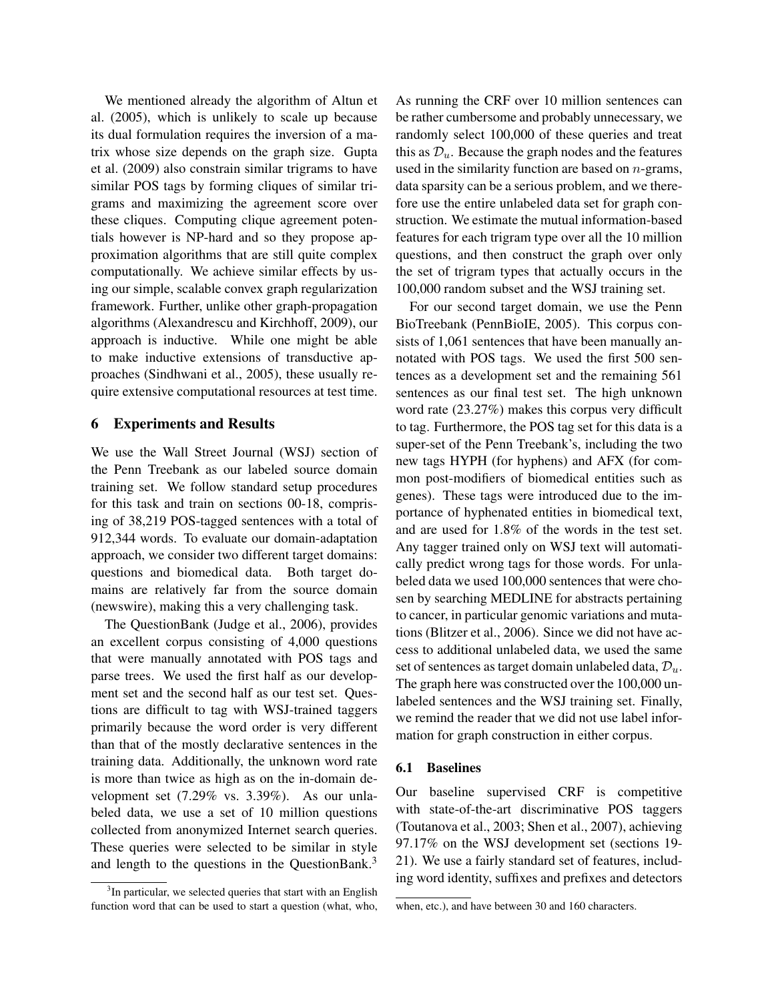We mentioned already the algorithm of Altun et al. (2005), which is unlikely to scale up because its dual formulation requires the inversion of a matrix whose size depends on the graph size. Gupta et al. (2009) also constrain similar trigrams to have similar POS tags by forming cliques of similar trigrams and maximizing the agreement score over these cliques. Computing clique agreement potentials however is NP-hard and so they propose approximation algorithms that are still quite complex computationally. We achieve similar effects by using our simple, scalable convex graph regularization framework. Further, unlike other graph-propagation algorithms (Alexandrescu and Kirchhoff, 2009), our approach is inductive. While one might be able to make inductive extensions of transductive approaches (Sindhwani et al., 2005), these usually require extensive computational resources at test time.

# 6 Experiments and Results

We use the Wall Street Journal (WSJ) section of the Penn Treebank as our labeled source domain training set. We follow standard setup procedures for this task and train on sections 00-18, comprising of 38,219 POS-tagged sentences with a total of 912,344 words. To evaluate our domain-adaptation approach, we consider two different target domains: questions and biomedical data. Both target domains are relatively far from the source domain (newswire), making this a very challenging task.

The QuestionBank (Judge et al., 2006), provides an excellent corpus consisting of 4,000 questions that were manually annotated with POS tags and parse trees. We used the first half as our development set and the second half as our test set. Questions are difficult to tag with WSJ-trained taggers primarily because the word order is very different than that of the mostly declarative sentences in the training data. Additionally, the unknown word rate is more than twice as high as on the in-domain development set (7.29% vs. 3.39%). As our unlabeled data, we use a set of 10 million questions collected from anonymized Internet search queries. These queries were selected to be similar in style and length to the questions in the QuestionBank.<sup>3</sup>

As running the CRF over 10 million sentences can be rather cumbersome and probably unnecessary, we randomly select 100,000 of these queries and treat this as  $\mathcal{D}_u$ . Because the graph nodes and the features used in the similarity function are based on  $n$ -grams, data sparsity can be a serious problem, and we therefore use the entire unlabeled data set for graph construction. We estimate the mutual information-based features for each trigram type over all the 10 million questions, and then construct the graph over only the set of trigram types that actually occurs in the 100,000 random subset and the WSJ training set.

For our second target domain, we use the Penn BioTreebank (PennBioIE, 2005). This corpus consists of 1,061 sentences that have been manually annotated with POS tags. We used the first 500 sentences as a development set and the remaining 561 sentences as our final test set. The high unknown word rate (23.27%) makes this corpus very difficult to tag. Furthermore, the POS tag set for this data is a super-set of the Penn Treebank's, including the two new tags HYPH (for hyphens) and AFX (for common post-modifiers of biomedical entities such as genes). These tags were introduced due to the importance of hyphenated entities in biomedical text, and are used for 1.8% of the words in the test set. Any tagger trained only on WSJ text will automatically predict wrong tags for those words. For unlabeled data we used 100,000 sentences that were chosen by searching MEDLINE for abstracts pertaining to cancer, in particular genomic variations and mutations (Blitzer et al., 2006). Since we did not have access to additional unlabeled data, we used the same set of sentences as target domain unlabeled data,  $\mathcal{D}_u$ . The graph here was constructed over the 100,000 unlabeled sentences and the WSJ training set. Finally, we remind the reader that we did not use label information for graph construction in either corpus.

### 6.1 Baselines

Our baseline supervised CRF is competitive with state-of-the-art discriminative POS taggers (Toutanova et al., 2003; Shen et al., 2007), achieving 97.17% on the WSJ development set (sections 19- 21). We use a fairly standard set of features, including word identity, suffixes and prefixes and detectors

<sup>&</sup>lt;sup>3</sup>In particular, we selected queries that start with an English function word that can be used to start a question (what, who,

when, etc.), and have between 30 and 160 characters.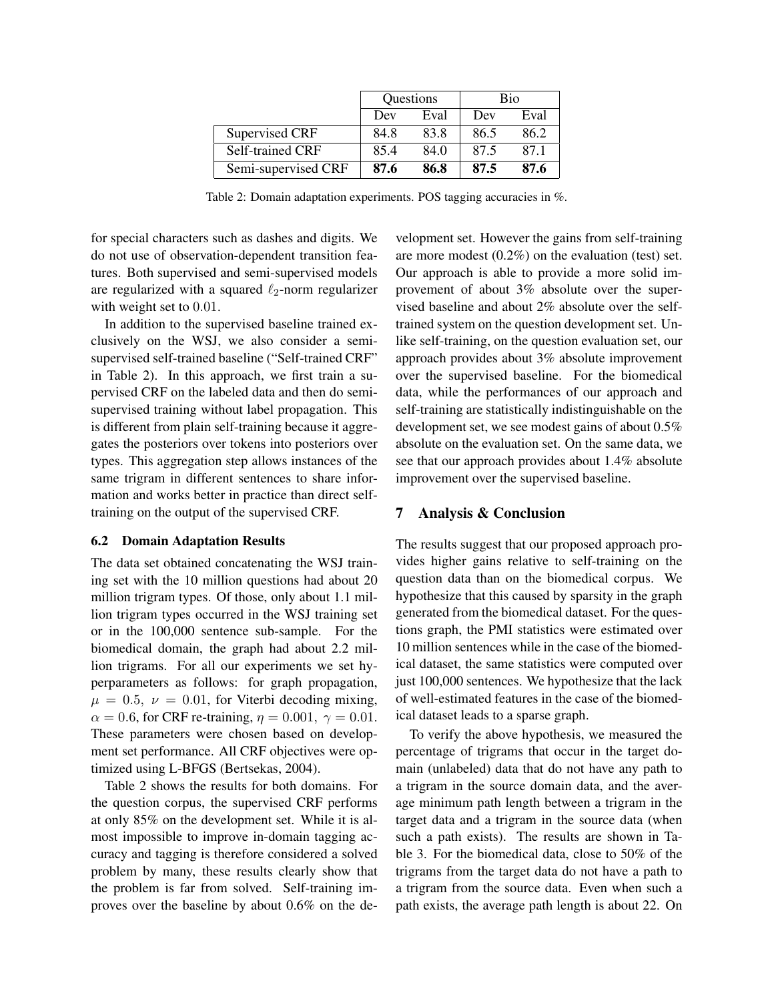|                     | Questions |      | Bio  |      |
|---------------------|-----------|------|------|------|
|                     | Dev       | Eval | Dev  | Eval |
| Supervised CRF      | 84.8      | 83.8 | 86.5 | 86.2 |
| Self-trained CRF    | 85.4      | 84.0 | 87.5 | 87.1 |
| Semi-supervised CRF | 87.6      | 86.8 | 87.5 | 87.6 |

Table 2: Domain adaptation experiments. POS tagging accuracies in %.

for special characters such as dashes and digits. We do not use of observation-dependent transition features. Both supervised and semi-supervised models are regularized with a squared  $\ell_2$ -norm regularizer with weight set to  $0.01$ .

In addition to the supervised baseline trained exclusively on the WSJ, we also consider a semisupervised self-trained baseline ("Self-trained CRF" in Table 2). In this approach, we first train a supervised CRF on the labeled data and then do semisupervised training without label propagation. This is different from plain self-training because it aggregates the posteriors over tokens into posteriors over types. This aggregation step allows instances of the same trigram in different sentences to share information and works better in practice than direct selftraining on the output of the supervised CRF.

### 6.2 Domain Adaptation Results

The data set obtained concatenating the WSJ training set with the 10 million questions had about 20 million trigram types. Of those, only about 1.1 million trigram types occurred in the WSJ training set or in the 100,000 sentence sub-sample. For the biomedical domain, the graph had about 2.2 million trigrams. For all our experiments we set hyperparameters as follows: for graph propagation,  $\mu = 0.5$ ,  $\nu = 0.01$ , for Viterbi decoding mixing,  $\alpha = 0.6$ , for CRF re-training,  $\eta = 0.001$ ,  $\gamma = 0.01$ . These parameters were chosen based on development set performance. All CRF objectives were optimized using L-BFGS (Bertsekas, 2004).

Table 2 shows the results for both domains. For the question corpus, the supervised CRF performs at only 85% on the development set. While it is almost impossible to improve in-domain tagging accuracy and tagging is therefore considered a solved problem by many, these results clearly show that the problem is far from solved. Self-training improves over the baseline by about 0.6% on the development set. However the gains from self-training are more modest (0.2%) on the evaluation (test) set. Our approach is able to provide a more solid improvement of about 3% absolute over the supervised baseline and about 2% absolute over the selftrained system on the question development set. Unlike self-training, on the question evaluation set, our approach provides about 3% absolute improvement over the supervised baseline. For the biomedical data, while the performances of our approach and self-training are statistically indistinguishable on the development set, we see modest gains of about 0.5% absolute on the evaluation set. On the same data, we see that our approach provides about 1.4% absolute improvement over the supervised baseline.

# 7 Analysis & Conclusion

The results suggest that our proposed approach provides higher gains relative to self-training on the question data than on the biomedical corpus. We hypothesize that this caused by sparsity in the graph generated from the biomedical dataset. For the questions graph, the PMI statistics were estimated over 10 million sentences while in the case of the biomedical dataset, the same statistics were computed over just 100,000 sentences. We hypothesize that the lack of well-estimated features in the case of the biomedical dataset leads to a sparse graph.

To verify the above hypothesis, we measured the percentage of trigrams that occur in the target domain (unlabeled) data that do not have any path to a trigram in the source domain data, and the average minimum path length between a trigram in the target data and a trigram in the source data (when such a path exists). The results are shown in Table 3. For the biomedical data, close to 50% of the trigrams from the target data do not have a path to a trigram from the source data. Even when such a path exists, the average path length is about 22. On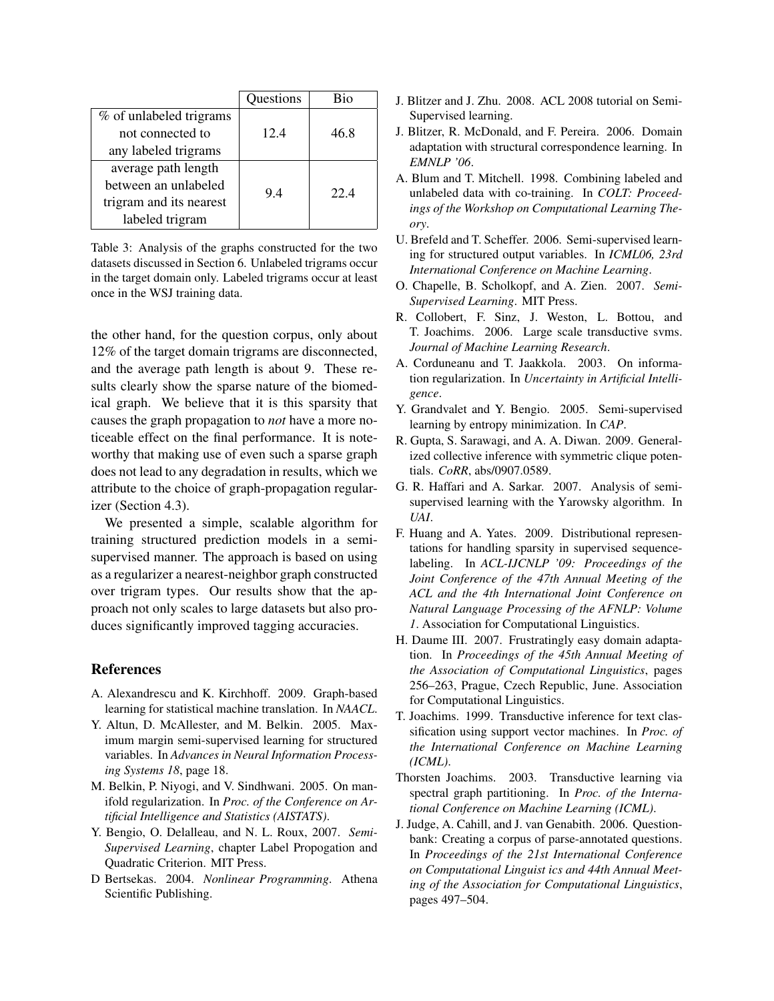|                         | Questions | Bio  |
|-------------------------|-----------|------|
| % of unlabeled trigrams |           |      |
| not connected to        | 12.4      | 46.8 |
| any labeled trigrams    |           |      |
| average path length     |           |      |
| between an unlabeled    | 9.4       | 22.4 |
| trigram and its nearest |           |      |
| labeled trigram         |           |      |

Table 3: Analysis of the graphs constructed for the two datasets discussed in Section 6. Unlabeled trigrams occur in the target domain only. Labeled trigrams occur at least once in the WSJ training data.

the other hand, for the question corpus, only about 12% of the target domain trigrams are disconnected, and the average path length is about 9. These results clearly show the sparse nature of the biomedical graph. We believe that it is this sparsity that causes the graph propagation to *not* have a more noticeable effect on the final performance. It is noteworthy that making use of even such a sparse graph does not lead to any degradation in results, which we attribute to the choice of graph-propagation regularizer (Section 4.3).

We presented a simple, scalable algorithm for training structured prediction models in a semisupervised manner. The approach is based on using as a regularizer a nearest-neighbor graph constructed over trigram types. Our results show that the approach not only scales to large datasets but also produces significantly improved tagging accuracies.

# **References**

- A. Alexandrescu and K. Kirchhoff. 2009. Graph-based learning for statistical machine translation. In *NAACL*.
- Y. Altun, D. McAllester, and M. Belkin. 2005. Maximum margin semi-supervised learning for structured variables. In *Advances in Neural Information Processing Systems 18*, page 18.
- M. Belkin, P. Niyogi, and V. Sindhwani. 2005. On manifold regularization. In *Proc. of the Conference on Artificial Intelligence and Statistics (AISTATS)*.
- Y. Bengio, O. Delalleau, and N. L. Roux, 2007. *Semi-Supervised Learning*, chapter Label Propogation and Quadratic Criterion. MIT Press.
- D Bertsekas. 2004. *Nonlinear Programming*. Athena Scientific Publishing.
- J. Blitzer and J. Zhu. 2008. ACL 2008 tutorial on Semi-Supervised learning.
- J. Blitzer, R. McDonald, and F. Pereira. 2006. Domain adaptation with structural correspondence learning. In *EMNLP '06*.
- A. Blum and T. Mitchell. 1998. Combining labeled and unlabeled data with co-training. In *COLT: Proceedings of the Workshop on Computational Learning Theory*.
- U. Brefeld and T. Scheffer. 2006. Semi-supervised learning for structured output variables. In *ICML06, 23rd International Conference on Machine Learning*.
- O. Chapelle, B. Scholkopf, and A. Zien. 2007. *Semi-Supervised Learning*. MIT Press.
- R. Collobert, F. Sinz, J. Weston, L. Bottou, and T. Joachims. 2006. Large scale transductive svms. *Journal of Machine Learning Research*.
- A. Corduneanu and T. Jaakkola. 2003. On information regularization. In *Uncertainty in Artificial Intelligence*.
- Y. Grandvalet and Y. Bengio. 2005. Semi-supervised learning by entropy minimization. In *CAP*.
- R. Gupta, S. Sarawagi, and A. A. Diwan. 2009. Generalized collective inference with symmetric clique potentials. *CoRR*, abs/0907.0589.
- G. R. Haffari and A. Sarkar. 2007. Analysis of semisupervised learning with the Yarowsky algorithm. In *UAI*.
- F. Huang and A. Yates. 2009. Distributional representations for handling sparsity in supervised sequencelabeling. In *ACL-IJCNLP '09: Proceedings of the Joint Conference of the 47th Annual Meeting of the ACL and the 4th International Joint Conference on Natural Language Processing of the AFNLP: Volume 1*. Association for Computational Linguistics.
- H. Daume III. 2007. Frustratingly easy domain adaptation. In *Proceedings of the 45th Annual Meeting of the Association of Computational Linguistics*, pages 256–263, Prague, Czech Republic, June. Association for Computational Linguistics.
- T. Joachims. 1999. Transductive inference for text classification using support vector machines. In *Proc. of the International Conference on Machine Learning (ICML)*.
- Thorsten Joachims. 2003. Transductive learning via spectral graph partitioning. In *Proc. of the International Conference on Machine Learning (ICML)*.
- J. Judge, A. Cahill, and J. van Genabith. 2006. Questionbank: Creating a corpus of parse-annotated questions. In *Proceedings of the 21st International Conference on Computational Linguist ics and 44th Annual Meeting of the Association for Computational Linguistics*, pages 497–504.